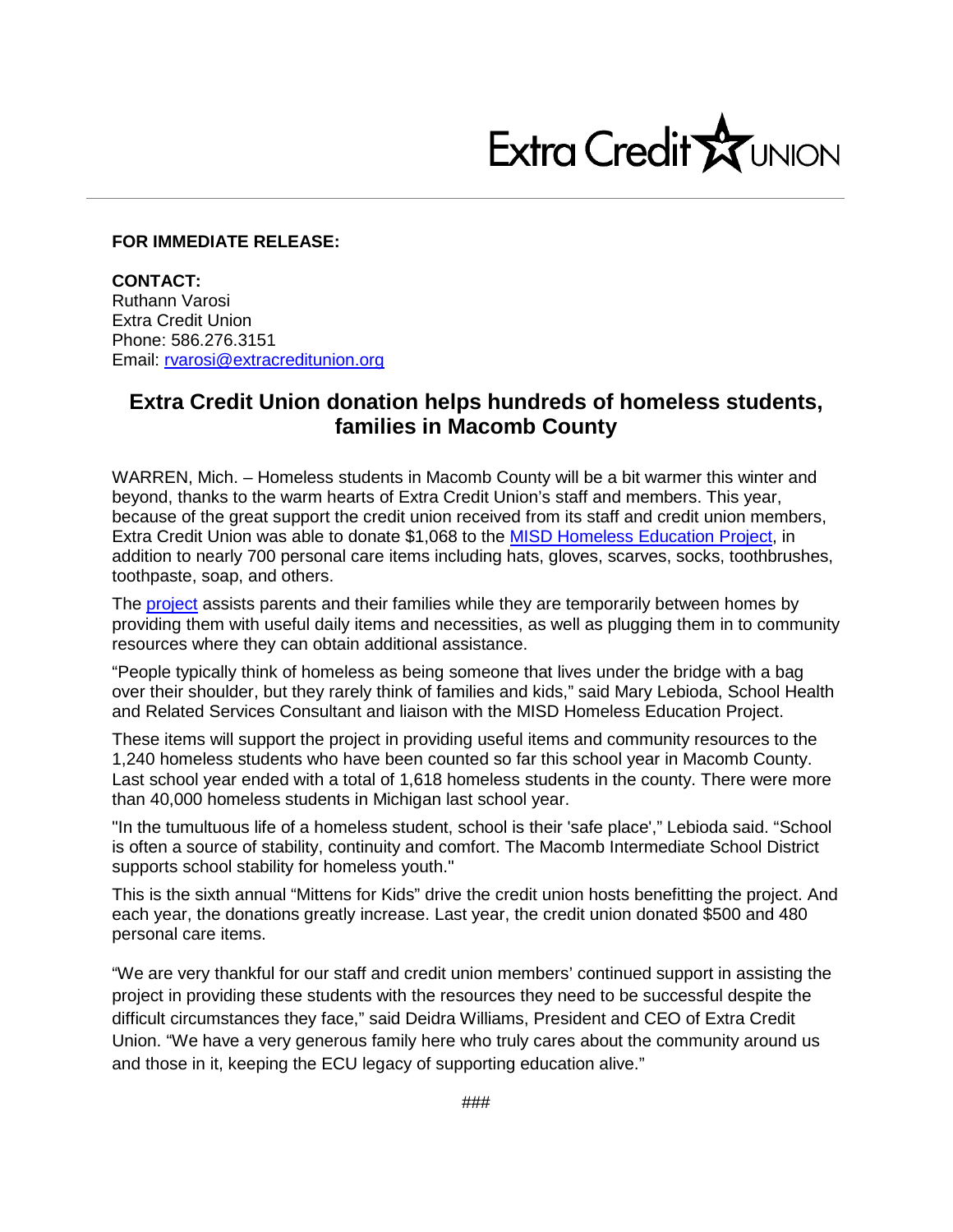

## **FOR IMMEDIATE RELEASE:**

**CONTACT:** Ruthann Varosi Extra Credit Union Phone: 586.276.3151 Email: [rvarosi@extracreditunion.org](mailto:rvarosi@extracreditunion.org)

## **Extra Credit Union donation helps hundreds of homeless students, families in Macomb County**

WARREN, Mich. – Homeless students in Macomb County will be a bit warmer this winter and beyond, thanks to the warm hearts of Extra Credit Union's staff and members. This year, because of the great support the credit union received from its staff and credit union members, Extra Credit Union was able to donate \$1,068 to the [MISD Homeless Education Project,](http://www.misd.net/homeless/index.html) in addition to nearly 700 personal care items including hats, gloves, scarves, socks, toothbrushes, toothpaste, soap, and others.

The [project](http://www.misd.net/homeless/index.html) assists parents and their families while they are temporarily between homes by providing them with useful daily items and necessities, as well as plugging them in to community resources where they can obtain additional assistance.

"People typically think of homeless as being someone that lives under the bridge with a bag over their shoulder, but they rarely think of families and kids," said Mary Lebioda, School Health and Related Services Consultant and liaison with the MISD Homeless Education Project.

These items will support the project in providing useful items and community resources to the 1,240 homeless students who have been counted so far this school year in Macomb County. Last school year ended with a total of 1,618 homeless students in the county. There were more than 40,000 homeless students in Michigan last school year.

"In the tumultuous life of a homeless student, school is their 'safe place'," Lebioda said. "School is often a source of stability, continuity and comfort. The Macomb Intermediate School District supports school stability for homeless youth."

This is the sixth annual "Mittens for Kids" drive the credit union hosts benefitting the project. And each year, the donations greatly increase. Last year, the credit union donated \$500 and 480 personal care items.

"We are very thankful for our staff and credit union members' continued support in assisting the project in providing these students with the resources they need to be successful despite the difficult circumstances they face," said Deidra Williams, President and CEO of Extra Credit Union. "We have a very generous family here who truly cares about the community around us and those in it, keeping the ECU legacy of supporting education alive."